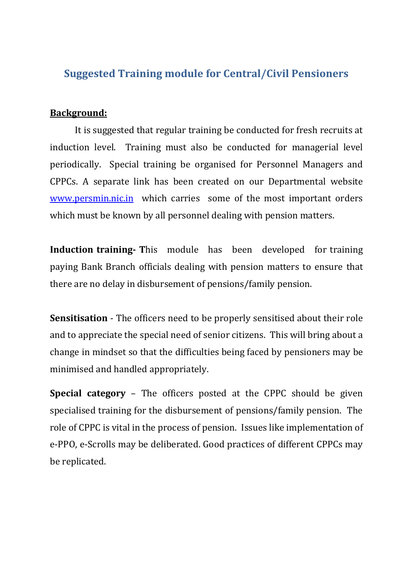# **Suggested Training module for Central/Civil Pensioners**

#### **Background:**

It is suggested that regular training be conducted for fresh recruits at induction level. Training must also be conducted for managerial level periodically. Special training be organised for Personnel Managers and CPPCs. A separate link has been created on our Departmental website [www.persmin.nic.in](http://www.persmin.nic.in/) which carries some of the most important orders which must be known by all personnel dealing with pension matters.

**Induction training- T**his module has been developed for training paying Bank Branch officials dealing with pension matters to ensure that there are no delay in disbursement of pensions/family pension.

**Sensitisation** - The officers need to be properly sensitised about their role and to appreciate the special need of senior citizens. This will bring about a change in mindset so that the difficulties being faced by pensioners may be minimised and handled appropriately.

**Special category** – The officers posted at the CPPC should be given specialised training for the disbursement of pensions/family pension. The role of CPPC is vital in the process of pension. Issues like implementation of e-PPO, e-Scrolls may be deliberated. Good practices of different CPPCs may be replicated.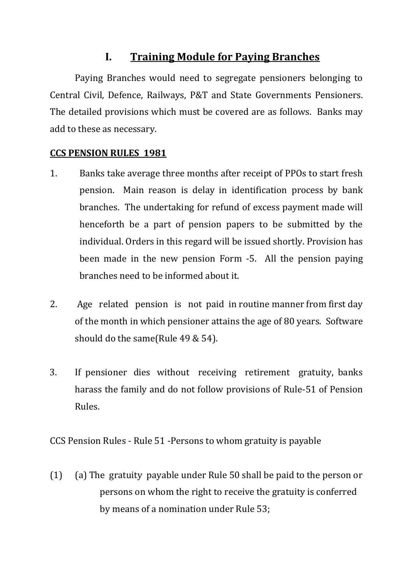## **I. Training Module for Paying Branches**

Paying Branches would need to segregate pensioners belonging to Central Civil, Defence, Railways, P&T and State Governments Pensioners. The detailed provisions which must be covered are as follows. Banks may add to these as necessary.

### **CCS PENSION RULES 1981**

- 1. Banks take average three months after receipt of PPOs to start fresh pension. Main reason is delay in identification process by bank branches. The undertaking for refund of excess payment made will henceforth be a part of pension papers to be submitted by the individual. Orders in this regard will be issued shortly. Provision has been made in the new pension Form -5. All the pension paying branches need to be informed about it.
- 2. Age related pension is not paid in routine manner from first day of the month in which pensioner attains the age of 80 years. Software should do the same(Rule 49 & 54).
- 3. If pensioner dies without receiving retirement gratuity, banks harass the family and do not follow provisions of Rule-51 of Pension Rules.

CCS Pension Rules - Rule 51 -Persons to whom gratuity is payable

(1) (a) The gratuity payable under Rule 50 shall be paid to the person or persons on whom the right to receive the gratuity is conferred by means of a nomination under Rule 53;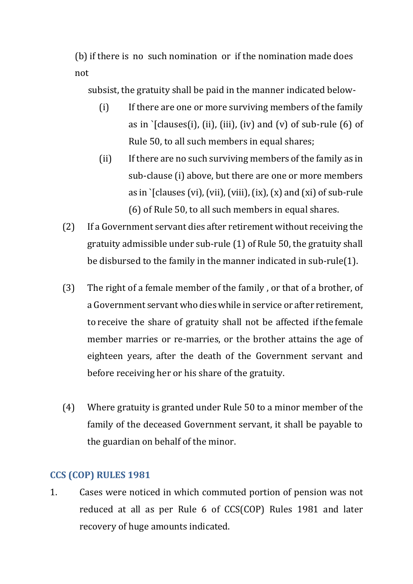(b) if there is no such nomination or if the nomination made does not

subsist, the gratuity shall be paid in the manner indicated below-

- (i) If there are one or more surviving members of the family as in  $\Gamma$ clauses(i), (ii), (iii), (iv) and (v) of sub-rule (6) of Rule 50, to all such members in equal shares;
- (ii) If there are no such surviving members of the family as in sub-clause (i) above, but there are one or more members as in  $\Omega$  [clauses (vi), (vii), (viii), (ix), (x) and (xi) of sub-rule (6) of Rule 50, to all such members in equal shares.
- (2) If a Government servant dies after retirement without receiving the gratuity admissible under sub-rule (1) of Rule 50, the gratuity shall be disbursed to the family in the manner indicated in sub-rule(1).
- (3) The right of a female member of the family , or that of a brother, of a Government servant who dies while in service or after retirement, to receive the share of gratuity shall not be affected if the female member marries or re-marries, or the brother attains the age of eighteen years, after the death of the Government servant and before receiving her or his share of the gratuity.
- (4) Where gratuity is granted under Rule 50 to a minor member of the family of the deceased Government servant, it shall be payable to the guardian on behalf of the minor.

### **CCS (COP) RULES 1981**

1. Cases were noticed in which commuted portion of pension was not reduced at all as per Rule 6 of CCS(COP) Rules 1981 and later recovery of huge amounts indicated.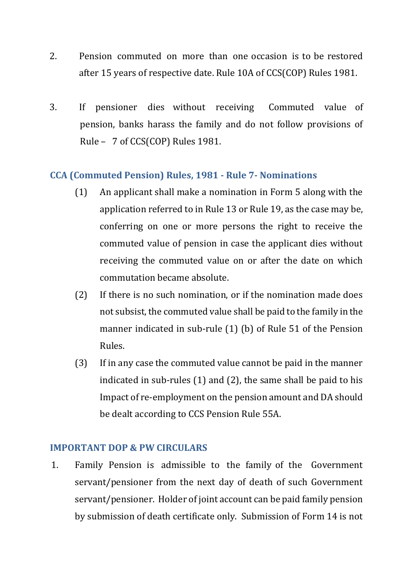- 2. Pension commuted on more than one occasion is to be restored after 15 years of respective date. Rule 10A of CCS(COP) Rules 1981.
- 3. If pensioner dies without receiving Commuted value of pension, banks harass the family and do not follow provisions of Rule – 7 of CCS(COP) Rules 1981.

### **CCA (Commuted Pension) Rules, 1981 - Rule 7- Nominations**

- (1) An applicant shall make a nomination in Form 5 along with the application referred to in Rule 13 or Rule 19, as the case may be, conferring on one or more persons the right to receive the commuted value of pension in case the applicant dies without receiving the commuted value on or after the date on which commutation became absolute.
- (2) If there is no such nomination, or if the nomination made does not subsist, the commuted value shall be paid to the family in the manner indicated in sub-rule (1) (b) of Rule 51 of the Pension Rules.
- (3) If in any case the commuted value cannot be paid in the manner indicated in sub-rules (1) and (2), the same shall be paid to his Impact of re-employment on the pension amount and DA should be dealt according to CCS Pension Rule 55A.

#### **IMPORTANT DOP & PW CIRCULARS**

1. Family Pension is admissible to the family of the Government servant/pensioner from the next day of death of such Government servant/pensioner. Holder of joint account can be paid family pension by submission of death certificate only. Submission of Form 14 is not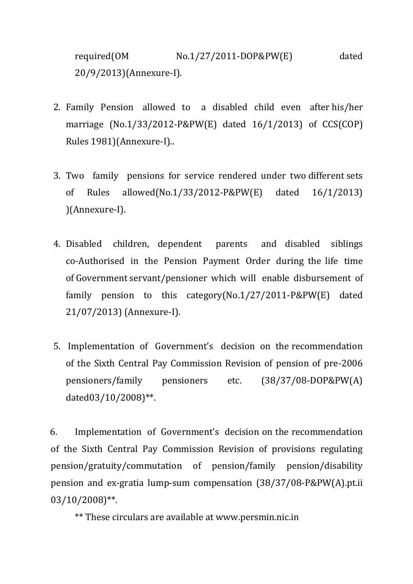required(OM No.1/27/2011-DOP&PW(E) dated 20/9/2013)(Annexure-I).

- 2. Family Pension allowed to a disabled child even after his/her marriage (No.1/33/2012-P&PW(E) dated 16/1/2013) of CCS(COP) Rules 1981)(Annexure-I)..
- 3. Two family pensions for service rendered under two different sets of Rules allowed(No.1/33/2012-P&PW(E) dated 16/1/2013) )(Annexure-I).
- 4. Disabled children, dependent parents and disabled siblings co-Authorised in the Pension Payment Order during the life time of Government servant/pensioner which will enable disbursement of family pension to this category(No.1/27/2011-P&PW(E) dated 21/07/2013) (Annexure-I).
- 5. Implementation of Government's decision on the recommendation of the Sixth Central Pay Commission Revision of pension of pre-2006 pensioners/family pensioners etc. (38/37/08-DOP&PW(A) dated03/10/2008)\*\*.

6. Implementation of Government's decision on the recommendation of the Sixth Central Pay Commission Revision of provisions regulating pension/gratuity/commutation of pension/family pension/disability pension and ex-gratia lump-sum compensation (38/37/08-P&PW(A).pt.ii 03/10/2008)\*\*.

\*\* These circulars are available at www.persmin.nic.in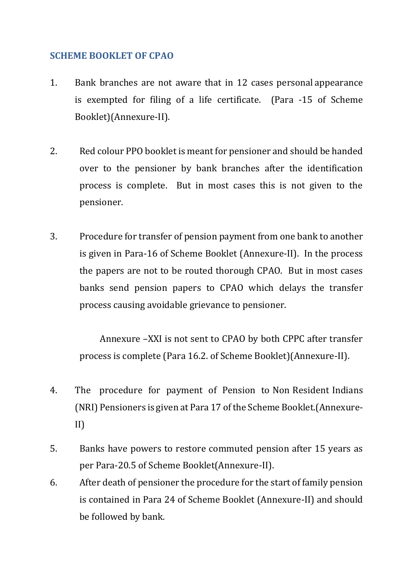#### **SCHEME BOOKLET OF CPAO**

- 1. Bank branches are not aware that in 12 cases personal appearance is exempted for filing of a life certificate. (Para -15 of Scheme Booklet)(Annexure-II).
- 2. Red colour PPO booklet is meant for pensioner and should be handed over to the pensioner by bank branches after the identification process is complete. But in most cases this is not given to the pensioner.
- 3. Procedure for transfer of pension payment from one bank to another is given in Para-16 of Scheme Booklet (Annexure-II). In the process the papers are not to be routed thorough CPAO. But in most cases banks send pension papers to CPAO which delays the transfer process causing avoidable grievance to pensioner.

Annexure –XXI is not sent to CPAO by both CPPC after transfer process is complete (Para 16.2. of Scheme Booklet)(Annexure-II).

- 4. The procedure for payment of Pension to Non Resident Indians (NRI) Pensioners is given at Para 17 of the Scheme Booklet.(Annexure-II)
- 5. Banks have powers to restore commuted pension after 15 years as per Para-20.5 of Scheme Booklet(Annexure-II).
- 6. After death of pensioner the procedure for the start of family pension is contained in Para 24 of Scheme Booklet (Annexure-II) and should be followed by bank.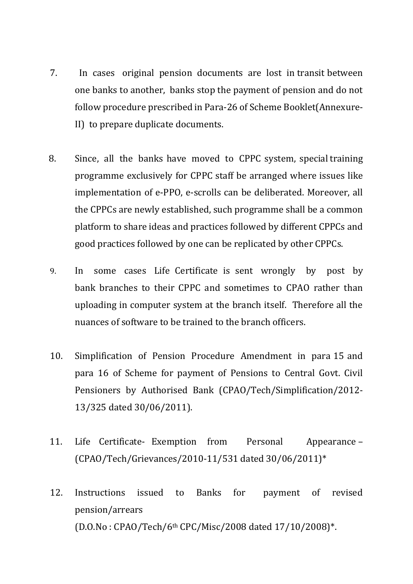- 7. In cases original pension documents are lost in transit between one banks to another, banks stop the payment of pension and do not follow procedure prescribed in Para-26 of Scheme Booklet(Annexure-II) to prepare duplicate documents.
- 8. Since, all the banks have moved to CPPC system, special training programme exclusively for CPPC staff be arranged where issues like implementation of e-PPO, e-scrolls can be deliberated. Moreover, all the CPPCs are newly established, such programme shall be a common platform to share ideas and practices followed by different CPPCs and good practices followed by one can be replicated by other CPPCs.
- 9. In some cases Life Certificate is sent wrongly by post by bank branches to their CPPC and sometimes to CPAO rather than uploading in computer system at the branch itself. Therefore all the nuances of software to be trained to the branch officers.
- 10. Simplification of Pension Procedure Amendment in para 15 and para 16 of Scheme for payment of Pensions to Central Govt. Civil Pensioners by Authorised Bank (CPAO/Tech/Simplification/2012- 13/325 dated 30/06/2011).
- 11. Life Certificate- Exemption from Personal Appearance (CPAO/Tech/Grievances/2010-11/531 dated 30/06/2011)\*
- 12. Instructions issued to Banks for payment of revised pension/arrears (D.O.No : CPAO/Tech/6th CPC/Misc/2008 dated 17/10/2008)\*.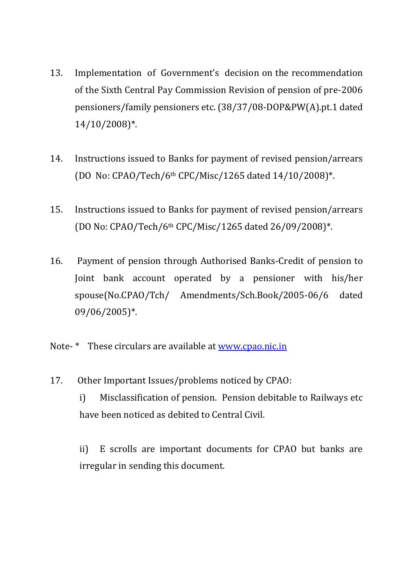- 13. Implementation of Government's decision on the recommendation of the Sixth Central Pay Commission Revision of pension of pre-2006 pensioners/family pensioners etc. (38/37/08-DOP&PW(A).pt.1 dated 14/10/2008)\*.
- 14. Instructions issued to Banks for payment of revised pension/arrears (DO No: CPAO/Tech/6th CPC/Misc/1265 dated 14/10/2008)\*.
- 15. Instructions issued to Banks for payment of revised pension/arrears (DO No: CPAO/Tech/6th CPC/Misc/1265 dated 26/09/2008)\*.
- 16. Payment of pension through Authorised Banks-Credit of pension to Joint bank account operated by a pensioner with his/her spouse(No.CPAO/Tch/ Amendments/Sch.Book/2005-06/6 dated 09/06/2005)\*.
- Note- \* These circulars are available at [www.cpao.nic.in](http://www.cpao.nic.in/)
- 17. Other Important Issues/problems noticed by CPAO:
	- i) Misclassification of pension. Pension debitable to Railways etc have been noticed as debited to Central Civil.

ii) E scrolls are important documents for CPAO but banks are irregular in sending this document.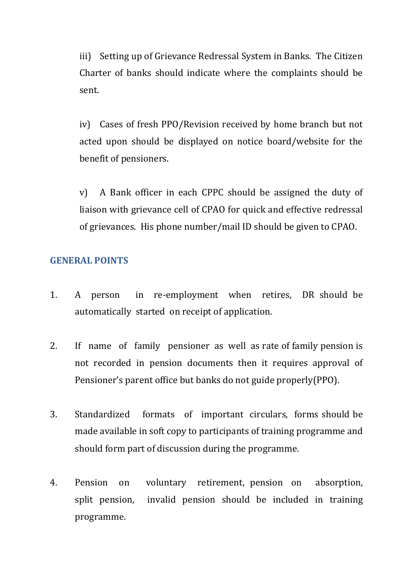iii) Setting up of Grievance Redressal System in Banks. The Citizen Charter of banks should indicate where the complaints should be sent.

iv) Cases of fresh PPO/Revision received by home branch but not acted upon should be displayed on notice board/website for the benefit of pensioners.

v) A Bank officer in each CPPC should be assigned the duty of liaison with grievance cell of CPAO for quick and effective redressal of grievances. His phone number/mail ID should be given to CPAO.

#### **GENERAL POINTS**

- 1. A person in re-employment when retires, DR should be automatically started on receipt of application.
- 2. If name of family pensioner as well as rate of family pension is not recorded in pension documents then it requires approval of Pensioner's parent office but banks do not guide properly(PPO).
- 3. Standardized formats of important circulars, forms should be made available in soft copy to participants of training programme and should form part of discussion during the programme.
- 4. Pension on voluntary retirement, pension on absorption, split pension, invalid pension should be included in training programme.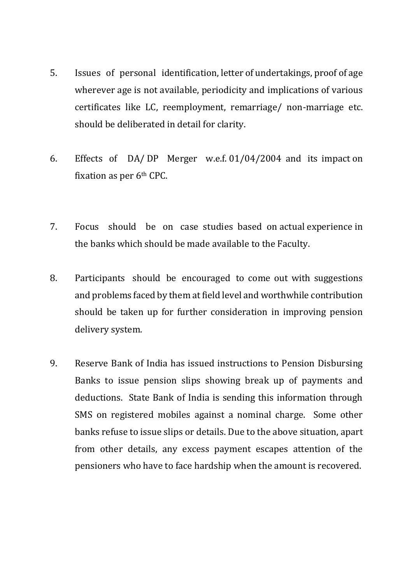- 5. Issues of personal identification, letter of undertakings, proof of age wherever age is not available, periodicity and implications of various certificates like LC, reemployment, remarriage/ non-marriage etc. should be deliberated in detail for clarity.
- 6. Effects of DA/ DP Merger w.e.f. 01/04/2004 and its impact on fixation as per 6th CPC.
- 7. Focus should be on case studies based on actual experience in the banks which should be made available to the Faculty.
- 8. Participants should be encouraged to come out with suggestions and problems faced by them at field level and worthwhile contribution should be taken up for further consideration in improving pension delivery system.
- 9. Reserve Bank of India has issued instructions to Pension Disbursing Banks to issue pension slips showing break up of payments and deductions. State Bank of India is sending this information through SMS on registered mobiles against a nominal charge. Some other banks refuse to issue slips or details. Due to the above situation, apart from other details, any excess payment escapes attention of the pensioners who have to face hardship when the amount is recovered.